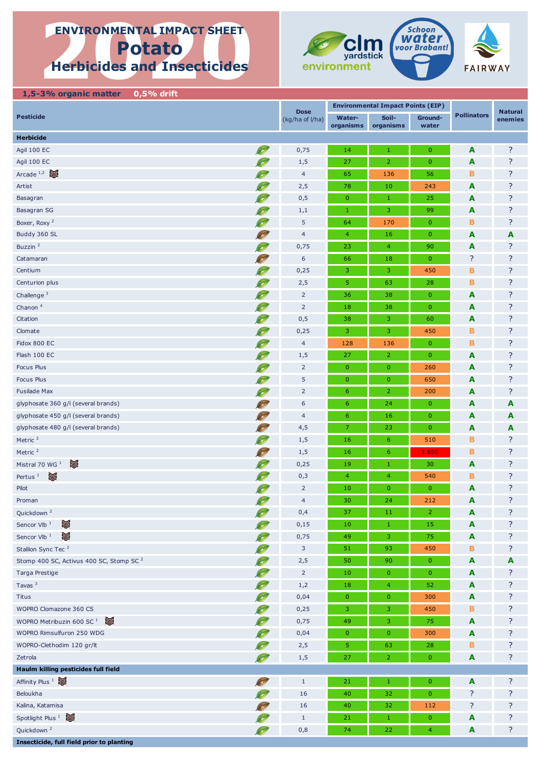# **ENVIRONMENTAL IMPACT SHEET**<br> **Potato**<br>
Herbicides and Insecticides **ENVIRONMENTAL IMPACT SHEET Potato Herbicides and Insecticides**



 **1,5-3% organic matter 0,5% drift Pesticide Water-**(kg/ha of l/ha) **organisms Soilorganisms Groundwater Herbicide** Agil 100 EC **A** 2 **A** ? Agil 100 EC vj 1,5 27 2 0 **A** ? Arcade <sup>1,2</sup>  $\approx$  **B** 8 7 Artist 2,5 **78 10 243 A** ? Basagran vj 0,5 0 1 25 **A** ? Basagran SG vj 1,1 1 3 99 **A** ? Boxer, Roxy <sup>2</sup> visit 170 **B** 8 2 3 3 3 4 5 5 64 170 **B** 8 3 4 5 64 170 **B** 8 3 Buddy 360 SL nj 4 4 16 0 **A A** Buzzin <sup>2</sup> view and the set of the set of the set of the set of the set of the set of the set of the set of the set of the set of the set of the set of the set of the set of the set of the set of the set of the set of the Catamaran 1988 - 18 0 86 18 0  $\sim$  7 8  $\sim$  7 8  $\sim$  7 8  $\sim$  7 8  $\sim$  7 8  $\sim$  7 8  $\sim$  7  $\sim$  7  $\sim$  7  $\sim$  7  $\sim$  7  $\sim$  7  $\sim$  7  $\sim$  7  $\sim$  7  $\sim$  7  $\sim$  7  $\sim$  7  $\sim$  7  $\sim$  7  $\sim$  7  $\sim$  7  $\sim$  7  $\sim$  7  $\sim$  7  $\sim$ Centium vj 0,25 3 3 450 **B** ? Centurion plus vj 2,5 5 63 28 **B** ? Challenge <sup>3</sup> view and the set of the set of the set of the set of the set of the set of the set of the set of the set of the set of the set of the set of the set of the set of the set of the set of the set of the set of t Chanon <sup>4</sup> vi 2 18 38 0 **A** ? Citation vj 0,5 38 3 60 **A** ? Clomate vj 0,25 3 3 450 **B** ? Fidox 800 EC vj 4 128 136 0 **B** ? Flash 100 EC **A** ? Focus Plus vj 2 0 0 260 **A** ? Focus Plus **A** ? Fusilade Max vj 2 6 2 200 **A** ? glyphosate 360 g/l (several brands) **A A A A** glyphosate 450 g/l (several brands) **A A A A** glyphosate 480 g/l (several brands) **A A A A** Metric <sup>2</sup> view by the set of the set of the set of the set of the set of the set of the set of the set of the set of the set of the set of the set of the set of the set of the set of the set of the set of the set of the s Metric <sup>2</sup> **B** 8 2 Mistral 70 WG 1 vj 0,25 19 1 30 **A** ? Pertus 1 vj 0,3 4 4 540 **B** ? Pilot 2 10 0 0 **A** ? Proman vi 4 30 24 212 **A** ? Quickdown <sup>2</sup> view and the contract of the contract of the contract of the contract of the contract of the contract of the contract of the contract of the contract of the contract of the contract of the contract of the con Sencor Vlb <sup>1</sup>  $\approx$  **A**  $\approx$  ? Sencor Vlb <sup>1</sup>  $\frac{1}{2}$  **A**  $\frac{1}{2}$  **A** ? Stallion Sync Tec <sup>2</sup> and 3 51 93 **51 93 450 B** ? Stomp 400 SC, Activus 400 SC, Stomp SC <sup>2</sup> vi 2,5 50 90 90 0 A **A A** Targa Prestige vj 2 10 0 0 **A** ? Tavas <sup>3</sup> viewes and the contract of the contract of the contract of the contract of the contract of the contract of the contract of the contract of the contract of the contract of the contract of the contract of the cont Titus vj 0,04 0 0 300 **A** ? WOPRO Clomazone 360 CS **B** 250  $\overline{AB}$  3 3 450 **B** WOPRO Metribuzin 600 SC <sup>1</sup> 25 **A** ? WOPRO Rimsulfuron 250 WDG **A** 2 WOPRO-Clethodim 120 gr/lt 2,5 5 63 28 **B** ? Zetrola vj 1,5 27 2 0 **A** ? **Haulm killing pesticides full field** Affinity Plus 1 22 **A A** ? Beloukha vi 16  $\sqrt{2}$  16  $\sqrt{40}$  32 0  $\sqrt{2}$  ? Kalina, Katamisa nj 16 40 32 112 ? ? Spotlight Plus  $1 \bigotimes$  **A** ? **Dose Environmental Impact Points (EIP) Pollinators Natural enemies**

Quickdown <sup>2</sup> view and the set of the set of the set of the set of the set of the set of the set of the set of the set of the set of the set of the set of the set of the set of the set of the set of the set of the set of t

**Insecticide, full field prior to planting**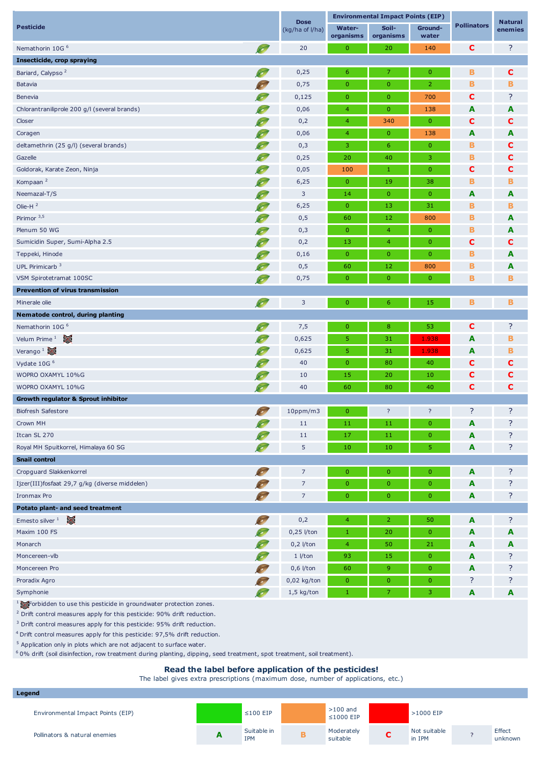| <b>Pesticide</b>                               |                |                                        | <b>Environmental Impact Points (EIP)</b> |                  |                    | <b>Natural</b> |
|------------------------------------------------|----------------|----------------------------------------|------------------------------------------|------------------|--------------------|----------------|
|                                                |                | Water-<br>(kg/ha of l/ha)<br>organisms | Soil-<br>organisms                       | Ground-<br>water | <b>Pollinators</b> | enemies        |
| S<br>Nemathorin 10G <sup>6</sup>               | 20             | $\mathbf 0$                            | 20                                       | 140              | $\mathbf c$        | ?              |
| Insecticide, crop spraying                     |                |                                        |                                          |                  |                    |                |
| Bariard, Calypso <sup>2</sup>                  | 0,25           | 6                                      | 7                                        | $\mathbf{0}$     | B                  | C              |
| <b>Batavia</b>                                 | 0,75           | $\mathbf 0$                            | $\mathbf{0}$                             | 2                | B                  | в              |
| <b>Benevia</b>                                 | 0,125          | $\pmb{0}$                              | $\mathbf{0}$                             | 700              | $\mathbf c$        | ?              |
| Chlorantraniliprole 200 g/l (several brands)   | 0,06           | $\overline{4}$                         | $\mathbf{0}$                             | 138              | A                  | A              |
| Closer                                         | 0,2            | $\overline{4}$                         | 340                                      | $\mathbf{0}$     | C                  | С              |
| Coragen                                        | 0,06           | $\overline{4}$                         | $\mathbf{0}$                             | 138              | A                  | A              |
| deltamethrin (25 g/l) (several brands)         | 0,3            | 3                                      | 6                                        | $\mathbf{0}$     | B                  | С              |
| Gazelle                                        | 0,25           | 20                                     | 40                                       | 3                | В                  | с              |
| Goldorak, Karate Zeon, Ninja                   | 0,05           | 100                                    | 1                                        | $\mathbf{0}$     | C                  | С              |
| Kompaan <sup>2</sup><br>Ø                      | 6,25           | $\mathbf 0$                            | 19                                       | 38               | B                  | в              |
| Neemazal-T/S                                   | 3              | 14                                     | $\mathbf{0}$                             | $\mathbf{0}$     | A                  | A              |
| Olie-H $2$                                     | 6,25           | $\pmb{0}$                              | 13                                       | 31               | B                  | в              |
| Pirimor <sup>3,5</sup>                         | 0,5            | 60                                     | 12                                       | 800              | B                  | A              |
| Plenum 50 WG                                   | 0,3            | $\pmb{0}$                              | $\overline{4}$                           | $\mathbf{0}$     | в                  | A              |
| Sumicidin Super, Sumi-Alpha 2.5                | 0,2            | 13                                     | $\overline{4}$                           | $\mathbf{0}$     | c                  | с              |
| Teppeki, Hinode                                | 0,16           | 0                                      | $\mathbf{0}$                             | $\mathbf{0}$     | B                  | A              |
| UPL Pirimicarb <sup>3</sup>                    | 0,5            | 60                                     | 12                                       | 800              | в                  | A              |
| VSM Spirotetramat 100SC                        | 0,75           | $\mathbf 0$                            | $\mathbf{0}$                             | $\mathbf{0}$     | в                  | в              |
| <b>Prevention of virus transmission</b>        |                |                                        |                                          |                  |                    |                |
| S<br>Minerale olie                             | 3              | $\pmb{0}$                              | 6                                        | 15               | в                  | в              |
| Nematode control, during planting              |                |                                        |                                          |                  |                    |                |
| Nemathorin 10G <sup>6</sup>                    | 7,5            | 0                                      | 8                                        | 53               | $\mathbf c$        | ?              |
| Velum Prime $1$                                | 0,625          | 5                                      | 31                                       | 1.938            | A                  | в              |
| Verango <sup>1</sup>                           | 0,625          | 5                                      | 31                                       | 1.938            | A                  | в              |
| Vydate 10G <sup>6</sup>                        | 40             | $\pmb{0}$                              | 80                                       | 40               | C                  | с              |
| WOPRO OXAMYL 10%G                              | 10             | 15                                     | 20                                       | 10               | $\mathbf c$        | С              |
| WOPRO OXAMYL 10%G<br>$\bullet$                 | 40             | 60                                     | 80                                       | 40               | C                  | C              |
| Growth regulator & Sprout inhibitor            |                |                                        |                                          |                  |                    |                |
| <b>ROW</b><br><b>Biofresh Safestore</b>        | 10ppm/m3       | $\mathbf{0}$                           | ?                                        | ?                | ?                  | ?              |
| Crown MH                                       | $11\,$         | 11                                     | 11                                       | $\mathbf 0$      | A                  | ?              |
| Itcan SL 270                                   | 11             | 17                                     | 11                                       | $\mathbf{0}$     | A                  | ?              |
| Royal MH Spuitkorrel, Himalaya 60 SG           | 5              | 10                                     | $10\,$                                   | 5                | A                  | ?              |
| <b>Snail control</b>                           |                |                                        |                                          |                  |                    |                |
| Cropguard Slakkenkorrel<br>S                   | $\overline{7}$ | $\mathbf{0}$                           | $\mathbf{0}$                             | $\mathbf{0}$     | A                  | ?              |
| Ijzer(III)fosfaat 29,7 g/kg (diverse middelen) | $\overline{7}$ | $\pmb{0}$                              | $\mathbf{0}$                             | $\pmb{0}$        | A                  | ?              |
| Ironmax Pro                                    | $\overline{7}$ | $\mathbf 0$                            | $\pmb{0}$                                | $\mathbf{0}$     | A                  | ?              |
| Potato plant- and seed treatment               |                |                                        |                                          |                  |                    |                |
| Emesto silver $\frac{1}{2}$<br>$\infty$        | 0,2            | $\overline{4}$                         | $\overline{2}$                           | 50               | A                  | ?              |
| Maxim 100 FS                                   | $0,25$ l/ton   | 1                                      | 20                                       | $\pmb{0}$        | A                  | A              |
| Monarch                                        | $0,2$ l/ton    | $\overline{4}$                         | 50                                       | 21               | A                  | A              |
| Moncereen-vlb                                  | $1$ //ton      | 93                                     | 15                                       | $\mathbf{0}$     | A                  | ?              |
| Moncereen Pro                                  | $0,6$ l/ton    | 60                                     | 9                                        | $\pmb{0}$        | A                  | ?              |
| Proradix Agro                                  | $0,02$ kg/ton  | $\mathbf{0}$                           | $\overline{0}$                           | $\mathbf{0}$     | ?                  | ?              |
| Symphonie<br>$\infty$                          | $1,5$ kg/ton   | 1                                      | 7                                        | 3                | A                  | A              |
|                                                |                |                                        |                                          |                  |                    |                |

1 Forbidden to use this pesticide in groundwater protection zones.

 $2$  Drift control measures apply for this pesticide: 90% drift reduction.

<sup>3</sup> Drift control measures apply for this pesticide: 95% drift reduction.

4 Drift control measures apply for this pesticide: 97,5% drift reduction.

 $5$  Application only in plots which are not adjacent to surface water.

 $60\%$  drift (soil disinfection, row treatment during planting, dipping, seed treatment, spot treatment, soil treatment).

# **Read the label before application of the pesticides!**

The label gives extra prescriptions (maximum dose, number of applications, etc.)